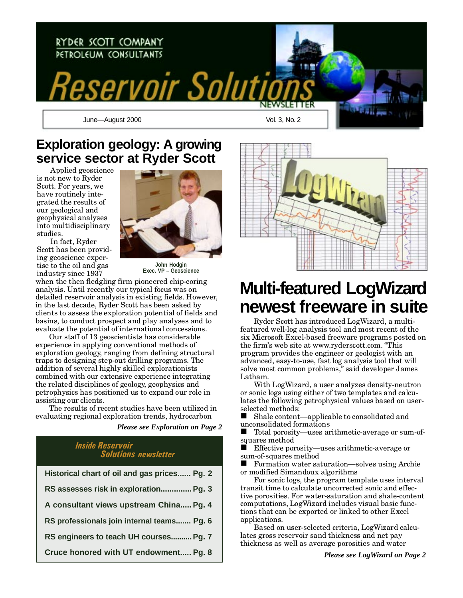

### **Exploration geology: A growing service sector at Ryder Scott**

Applied geoscience is not new to Ryder Scott. For years, we have routinely integrated the results of our geological and geophysical analyses into multidisciplinary studies.



In fact, Ryder Scott has been providing geoscience expertise to the oil and gas industry since 1937

**John Hodgin Exec. VP – Geoscience**

when the then fledgling firm pioneered chip-coring analysis. Until recently our typical focus was on detailed reservoir analysis in existing fields. However, in the last decade, Ryder Scott has been asked by clients to assess the exploration potential of fields and basins, to conduct prospect and play analyses and to evaluate the potential of international concessions.

Our staff of 13 geoscientists has considerable experience in applying conventional methods of exploration geology, ranging from defining structural traps to designing step-out drilling programs. The addition of several highly skilled explorationists combined with our extensive experience integrating the related disciplines of geology, geophysics and petrophysics has positioned us to expand our role in assisting our clients.

The results of recent studies have been utilized in evaluating regional exploration trends, hydrocarbon

*Please see Exploration on Page 2*

### Inside Reservoir Solutions newsletter

| Historical chart of oil and gas prices Pg. 2 |
|----------------------------------------------|
| RS assesses risk in exploration Pg. 3        |
| A consultant views upstream China Pg. 4      |
| RS professionals join internal teams Pg. 6   |
| RS engineers to teach UH courses Pg. 7       |
| Cruce honored with UT endowment Pg. 8        |



# **Multi-featured LogWizard newest freeware in suite**

Ryder Scott has introduced LogWizard, a multifeatured well-log analysis tool and most recent of the six Microsoft Excel-based freeware programs posted on the firm's web site at www.ryderscott.com. "This program provides the engineer or geologist with an advanced, easy-to-use, fast log analysis tool that will solve most common problems," said developer James Latham.

With LogWizard, a user analyzes density-neutron or sonic logs using either of two templates and calculates the following petrophysical values based on userselected methods:

 $\blacksquare$  Shale content—applicable to consolidated and unconsolidated formations

 $\blacksquare$  Total porosity—uses arithmetic-average or sum-ofsquares method<br> **E** Effective por

Effective porosity—uses arithmetic-average or sum-of-squares method

 $\blacksquare$  Formation water saturation—solves using Archie or modified Simandoux algorithms

For sonic logs, the program template uses interval transit time to calculate uncorrected sonic and effective porosities. For water-saturation and shale-content computations, LogWizard includes visual basic functions that can be exported or linked to other Excel applications.

Based on user-selected criteria, LogWizard calculates gross reservoir sand thickness and net pay thickness as well as average porosities and water

*Please see LogWizard on Page 2*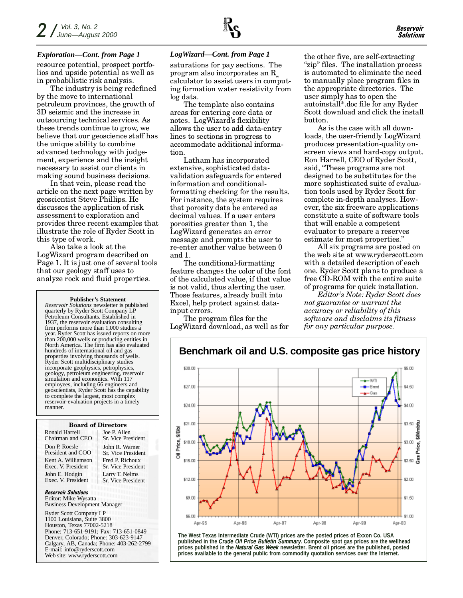#### *Exploration—Cont. from Page 1 LogWizard—Cont. from Page 1*

resource potential, prospect portfolios and upside potential as well as in probabilistic risk analysis.

The industry is being redefined by the move to international petroleum provinces, the growth of 3D seismic and the increase in outsourcing technical services. As these trends continue to grow, we believe that our geoscience staff has the unique ability to combine advanced technology with judgement, experience and the insight necessary to assist our clients in making sound business decisions.

In that vein, please read the article on the next page written by geoscientist Steve Phillips. He discusses the application of risk assessment to exploration and provides three recent examples that illustrate the role of Ryder Scott in this type of work.

Also take a look at the LogWizard program described on Page 1. It is just one of several tools that our geology staff uses to analyze rock and fluid properties.

#### **Publisher's Statement**

*Reservoir Solutions* newsletter is published quarterly by Ryder Scott Company LP Petroleum Consultants. Established in 1937, the reservoir evaluation consulting firm performs more than 1,000 studies a year. Ryder Scott has issued reports on more than 200,000 wells or producing entities in North America. The firm has also evaluated hundreds of international oil and gas properties involving thousands of wells. Ryder Scott multidisciplinary studies incorporate geophysics, petrophysics, geology, petroleum engineering, reservoir simulation and economics. With 117 employees, including 66 engineers and geoscientists, Ryder Scott has the capability to complete the largest, most complex reservoir-evaluation projects in a timely manner.

#### Board of Directors

Ronald Harrell Chairman and CEO Don P. Roesle President and COO Kent A. Williamson Exec. V. President John E. Hodgin Exec. V. President

Joe P. Allen Sr. Vice President John R. Warner Sr. Vice President Fred P. Richoux Sr. Vice President Larry T. Nelms Sr. Vice President

Reservoir Solutions Editor: Mike Wysatta Business Development Manager

Ryder Scott Company LP 1100 Louisiana, Suite 3800 Houston, Texas 77002-5218 Phone: 713-651-9191; Fax: 713-651-0849 Denver, Colorado; Phone: 303-623-9147 Calgary, AB, Canada; Phone: 403-262-2799 E-mail: info@ryderscott.com Web site: www.ryderscott.com

saturations for pay sections. The program also incorporates an  $R_{\mu}$ calculator to assist users in computing formation water resistivity from log data.

The template also contains areas for entering core data or notes. LogWizard's flexibility allows the user to add data-entry lines to sections in progress to accommodate additional information.

Latham has incorporated extensive, sophisticated datavalidation safeguards for entered information and conditionalformatting checking for the results. For instance, the system requires that porosity data be entered as decimal values. If a user enters porosities greater than 1, the LogWizard generates an error message and prompts the user to re-enter another value between 0 and 1.

The conditional-formatting feature changes the color of the font of the calculated value, if that value is not valid, thus alerting the user. Those features, already built into Excel, help protect against datainput errors.

The program files for the LogWizard download, as well as for the other five, are self-extracting "zip" files. The installation process is automated to eliminate the need to manually place program files in the appropriate directories. The user simply has to open the autoinstall\*.doc file for any Ryder Scott download and click the install button.

As is the case with all downloads, the user-friendly LogWizard produces presentation-quality onscreen views and hard-copy output. Ron Harrell, CEO of Ryder Scott, said, These programs are not designed to be substitutes for the more sophisticated suite of evaluation tools used by Ryder Scott for complete in-depth analyses. However, the six freeware applications constitute a suite of software tools that will enable a competent evaluator to prepare a reserves estimate for most properties.

All six programs are posted on the web site at www.ryderscott.com with a detailed description of each one. Ryder Scott plans to produce a free CD-ROM with the entire suite of programs for quick installation.

Editor's Note: Ryder Scott does not guarantee or warrant the accuracy or reliability of this software and disclaims its fitness for any particular purpose.



**The West Texas Intermediate Crude (WTI) prices are the posted prices of Exxon Co. USA published in the** *Crude Oil Price Bulletin Summary***. Composite spot gas prices are the wellhead prices published in the** *Natural Gas Week* **newsletter. Brent oil prices are the published, posted prices available to the general public from commodity quotation services over the Internet.**

#### **Benchmark oil and U.S. composite gas price history**

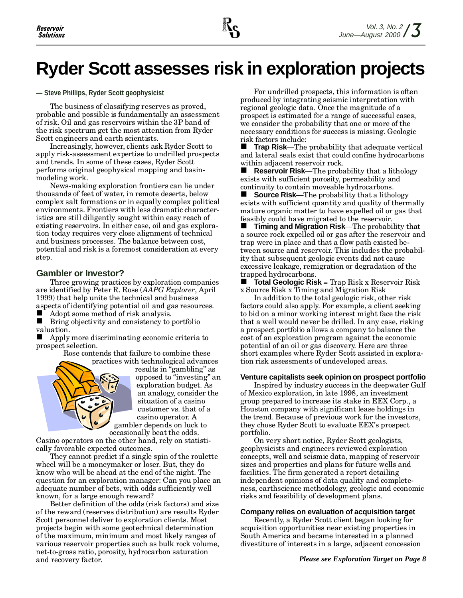# **Ryder Scott assesses risk in exploration projects**

#### **— Steve Phillips, Ryder Scott geophysicist**

The business of classifying reserves as proved, probable and possible is fundamentally an assessment of risk. Oil and gas reservoirs within the 3P band of the risk spectrum get the most attention from Ryder Scott engineers and earth scientists.

Increasingly, however, clients ask Ryder Scott to apply risk-assessment expertise to undrilled prospects and trends. In some of these cases, Ryder Scott performs original geophysical mapping and basinmodeling work.

News-making exploration frontiers can lie under thousands of feet of water, in remote deserts, below complex salt formations or in equally complex political environments. Frontiers with less dramatic characteristics are still diligently sought within easy reach of existing reservoirs. In either case, oil and gas exploration today requires very close alignment of technical and business processes. The balance between cost, potential and risk is a foremost consideration at every step.

#### **Gambler or Investor?**

Three growing practices by exploration companies are identified by Peter R. Rose (AAPG Explorer, April 1999) that help unite the technical and business aspects of identifying potential oil and gas resources.

Adopt some method of risk analysis.

 $\blacksquare$  Bring objectivity and consistency to portfolio valuation.

n Apply more discriminating economic criteria to prospect selection.

Rose contends that failure to combine these



results in "gambling" as opposed to "investing" an exploration budget. As an analogy, consider the situation of a casino customer vs. that of a casino operator. A gambler depends on luck to occasionally beat the odds.

Casino operators on the other hand, rely on statistically favorable expected outcomes.

They cannot predict if a single spin of the roulette wheel will be a moneymaker or loser. But, they do know who will be ahead at the end of the night. The question for an exploration manager: Can you place an adequate number of bets, with odds sufficiently well known, for a large enough reward?

Better definition of the odds (risk factors) and size of the reward (reserves distribution) are results Ryder Scott personnel deliver to exploration clients. Most projects begin with some geotechnical determination of the maximum, minimum and most likely ranges of various reservoir properties such as bulk rock volume, net-to-gross ratio, porosity, hydrocarbon saturation and recovery factor.

For undrilled prospects, this information is often produced by integrating seismic interpretation with regional geologic data. Once the magnitude of a prospect is estimated for a range of successful cases, we consider the probability that one or more of the necessary conditions for success is missing. Geologic risk factors include:

**Trap Risk—The probability that adequate vertical** and lateral seals exist that could confine hydrocarbons within adjacent reservoir rock.<br>**E** Reservoir Risk—The proba

**Reservoir Risk—The probability that a lithology** exists with sufficient porosity, permeability and continuity to contain moveable hydrocarbons.

**n** Source Risk—The probability that a lithology exists with sufficient quantity and quality of thermally mature organic matter to have expelled oil or gas that feasibly could have migrated to the reservoir.

**n** Timing and Migration Risk—The probability that a source rock expelled oil or gas after the reservoir and trap were in place and that a flow path existed between source and reservoir. This includes the probability that subsequent geologic events did not cause excessive leakage, remigration or degradation of the trapped hydrocarbons.

**n Total Geologic Risk** = Trap Risk x Reservoir Risk x Source Risk x Timing and Migration Risk

In addition to the total geologic risk, other risk factors could also apply. For example, a client seeking to bid on a minor working interest might face the risk that a well would never be drilled. In any case, risking a prospect portfolio allows a company to balance the cost of an exploration program against the economic potential of an oil or gas discovery. Here are three short examples where Ryder Scott assisted in exploration risk assessments of undeveloped areas.

#### **Venture capitalists seek opinion on prospect portfolio**

Inspired by industry success in the deepwater Gulf of Mexico exploration, in late 1998, an investment group prepared to increase its stake in EEX Corp., a Houston company with significant lease holdings in the trend. Because of previous work for the investors, they chose Ryder Scott to evaluate EEX's prospect portfolio.

On very short notice, Ryder Scott geologists, geophysicists and engineers reviewed exploration concepts, well and seismic data, mapping of reservoir sizes and properties and plans for future wells and facilities. The firm generated a report detailing independent opinions of data quality and completeness, earthscience methodology, geologic and economic risks and feasibility of development plans.

#### **Company relies on evaluation of acquisition target**

Recently, a Ryder Scott client began looking for acquisition opportunities near existing properties in South America and became interested in a planned divestiture of interests in a large, adjacent concession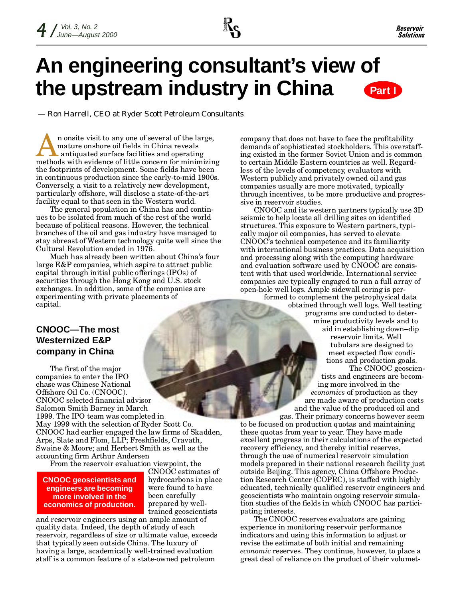

## **An engineering consultant's view of the upstream industry in China Part I**

*— Ron Harrell, CEO at Ryder Scott Petroleum Consultants*

n onsite visit to any one of several of the large, mature onshore oil fields in China reveals antiquated surface facilities and operating methods with evidence of little concern for minimizing the footprints of development. Some fields have been in continuous production since the early-to-mid 1900s. Conversely, a visit to a relatively new development, particularly offshore, will disclose a state-of-the-art facility equal to that seen in the Western world.

The general population in China has and continues to be isolated from much of the rest of the world because of political reasons. However, the technical branches of the oil and gas industry have managed to stay abreast of Western technology quite well since the Cultural Revolution ended in 1976.

Much has already been written about China's four large E&P companies, which aspire to attract public capital through initial public offerings (IPOs) of securities through the Hong Kong and U.S. stock exchanges. In addition, some of the companies are experimenting with private placements of capital.

### **CNOOC—The most Westernized E&P company in China**

The first of the major companies to enter the IPO chase was Chinese National Offshore Oil Co. (CNOOC). CNOOC selected financial advisor Salomon Smith Barney in March 1999. The IPO team was completed in May 1999 with the selection of Ryder Scott Co. CNOOC had earlier engaged the law firms of Skadden, Arps, Slate and Flom, LLP; Freshfields, Cravath, Swaine & Moore; and Herbert Smith as well as the accounting firm Arthur Andersen

From the reservoir evaluation viewpoint, the

#### **CNOOC geoscientists and engineers are becoming more involved in the economics of production.**

CNOOC estimates of hydrocarbons in place were found to have been carefully prepared by welltrained geoscientists

and reservoir engineers using an ample amount of quality data. Indeed, the depth of study of each reservoir, regardless of size or ultimate value, exceeds that typically seen outside China. The luxury of having a large, academically well-trained evaluation staff is a common feature of a state-owned petroleum

company that does not have to face the profitability demands of sophisticated stockholders. This overstaffing existed in the former Soviet Union and is common to certain Middle Eastern countries as well. Regardless of the levels of competency, evaluators with Western publicly and privately owned oil and gas companies usually are more motivated, typically through incentives, to be more productive and progressive in reservoir studies.

CNOOC and its western partners typically use 3D seismic to help locate all drilling sites on identified structures. This exposure to Western partners, typically major oil companies, has served to elevate CNOOCs technical competence and its familiarity with international business practices. Data acquisition and processing along with the computing hardware and evaluation software used by CNOOC are consistent with that used worldwide. International service companies are typically engaged to run a full array of open-hole well logs. Ample sidewall coring is per-

formed to complement the petrophysical data obtained through well logs. Well testing programs are conducted to determine productivity levels and to aid in establishing down-dip reservoir limits. Well tubulars are designed to meet expected flow conditions and production goals.

The CNOOC geoscientists and engineers are becoming more involved in the economics of production as they are made aware of production costs and the value of the produced oil and gas. Their primary concerns however seem

to be focused on production quotas and maintaining these quotas from year to year. They have made excellent progress in their calculations of the expected recovery efficiency, and thereby initial reserves, through the use of numerical reservoir simulation models prepared in their national research facility just outside Beijing. This agency, China Offshore Production Research Center (COPRC), is staffed with highly educated, technically qualified reservoir engineers and geoscientists who maintain ongoing reservoir simulation studies of the fields in which CNOOC has participating interests.

The CNOOC reserves evaluators are gaining experience in monitoring reservoir performance indicators and using this information to adjust or revise the estimate of both initial and remaining economic reserves. They continue, however, to place a great deal of reliance on the product of their volumet-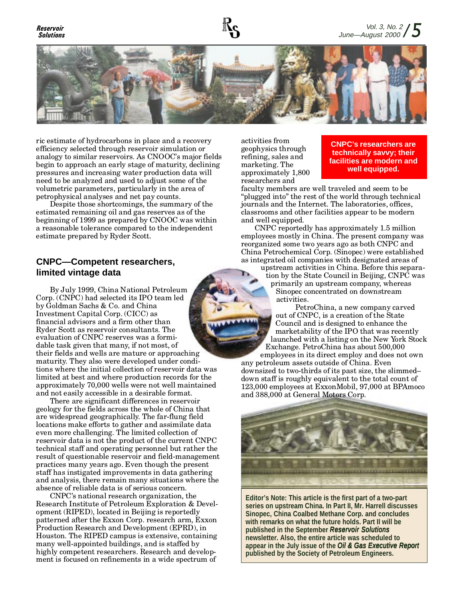### Solutions



ric estimate of hydrocarbons in place and a recovery efficiency selected through reservoir simulation or analogy to similar reservoirs. As CNOOC's major fields begin to approach an early stage of maturity, declining pressures and increasing water production data will need to be analyzed and used to adjust some of the volumetric parameters, particularly in the area of petrophysical analyses and net pay counts.

Despite those shortcomings, the summary of the estimated remaining oil and gas reserves as of the beginning of 1999 as prepared by CNOOC was within a reasonable tolerance compared to the independent estimate prepared by Ryder Scott.

#### **CNPC—Competent researchers, limited vintage data**

By July 1999, China National Petroleum Corp. (CNPC) had selected its IPO team led by Goldman Sachs & Co. and China Investment Capital Corp. (CICC) as financial advisors and a firm other than Ryder Scott as reservoir consultants. The evaluation of CNPC reserves was a formidable task given that many, if not most, of their fields and wells are mature or approaching maturity. They also were developed under conditions where the initial collection of reservoir data was limited at best and where production records for the approximately 70,000 wells were not well maintained and not easily accessible in a desirable format.

There are significant differences in reservoir geology for the fields across the whole of China that are widespread geographically. The far-flung field locations make efforts to gather and assimilate data even more challenging. The limited collection of reservoir data is not the product of the current CNPC technical staff and operating personnel but rather the result of questionable reservoir and field-management practices many years ago. Even though the present staff has instigated improvements in data gathering and analysis, there remain many situations where the absence of reliable data is of serious concern.

CNPC's national research organization, the Research Institute of Petroleum Exploration & Development (RIPED), located in Beijing is reportedly patterned after the Exxon Corp. research arm, Exxon Production Research and Development (EPRD), in Houston. The RIPED campus is extensive, containing many well-appointed buildings, and is staffed by highly competent researchers. Research and development is focused on refinements in a wide spectrum of

activities from geophysics through refining, sales and marketing. The approximately 1,800 researchers and

**CNPC's researchers are technically savvy; their facilities are modern and well equipped.**

faculty members are well traveled and seem to be "plugged into" the rest of the world through technical journals and the Internet. The laboratories, offices, classrooms and other facilities appear to be modern and well equipped.

CNPC reportedly has approximately 1.5 million employees mostly in China. The present company was reorganized some two years ago as both CNPC and China Petrochemical Corp. (Sinopec) were established as integrated oil companies with designated areas of

upstream activities in China. Before this separation by the State Council in Beijing, CNPC was primarily an upstream company, whereas Sinopec concentrated on downstream activities.

PetroChina, a new company carved out of CNPC, is a creation of the State Council and is designed to enhance the marketability of the IPO that was recently launched with a listing on the New York Stock Exchange. PetroChina has about 500,000

employees in its direct employ and does not own any petroleum assets outside of China. Even downsized to two-thirds of its past size, the slimmed down staff is roughly equivalent to the total count of 123,000 employees at ExxonMobil, 97,000 at BPAmoco and 388,000 at General Motors Corp.



**Editor's Note: This article is the first part of a two-part series on upstream China. In Part II, Mr. Harrell discusses Sinopec, China Coalbed Methane Corp. and concludes with remarks on what the future holds. Part II will be published in the September** *Reservoir Solutions* **newsletter. Also, the entire article was scheduled to** appear in the July issue of the *Oil & Gas Executive Report* **published by the Society of Petroleum Engineers.**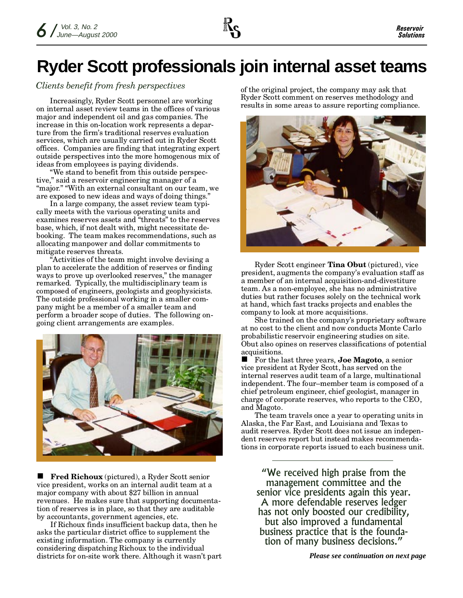# **Ryder Scott professionals join internal asset teams**

### Clients benefit from fresh perspectives of the original project, the company may ask that

Increasingly, Ryder Scott personnel are working on internal asset review teams in the offices of various major and independent oil and gas companies. The increase in this on-location work represents a departure from the firm's traditional reserves evaluation services, which are usually carried out in Ryder Scott offices. Companies are finding that integrating expert outside perspectives into the more homogenous mix of ideas from employees is paying dividends.

We stand to benefit from this outside perspective," said a reservoir engineering manager of a "major." "With an external consultant on our team, we are exposed to new ideas and ways of doing things.

In a large company, the asset review team typically meets with the various operating units and examines reserves assets and "threats" to the reserves base, which, if not dealt with, might necessitate debooking. The team makes recommendations, such as allocating manpower and dollar commitments to mitigate reserves threats.

Activities of the team might involve devising a plan to accelerate the addition of reserves or finding ways to prove up overlooked reserves," the manager remarked. Typically, the multidisciplinary team is composed of engineers, geologists and geophysicists. The outside professional working in a smaller company might be a member of a smaller team and perform a broader scope of duties. The following ongoing client arrangements are examples.



■ Fred Richoux (pictured), a Ryder Scott senior vice president, works on an internal audit team at a major company with about \$27 billion in annual revenues. He makes sure that supporting documentation of reserves is in place, so that they are auditable by accountants, government agencies, etc.

If Richoux finds insufficient backup data, then he asks the particular district office to supplement the existing information. The company is currently considering dispatching Richoux to the individual districts for on-site work there. Although it wasnt part *Please see continuation on next page*

Ryder Scott comment on reserves methodology and results in some areas to assure reporting compliance.



Ryder Scott engineer Tina Obut (pictured), vice president, augments the companys evaluation staff as a member of an internal acquisition-and-divestiture team. As a non-employee, she has no administrative duties but rather focuses solely on the technical work at hand, which fast tracks projects and enables the company to look at more acquisitions.

She trained on the company's proprietary software at no cost to the client and now conducts Monte Carlo probabilistic reservoir engineering studies on site. Obut also opines on reserves classifications of potential acquisitions.

 $\blacksquare$  For the last three years, **Joe Magoto**, a senior vice president at Ryder Scott, has served on the internal reserves audit team of a large, multinational independent. The four-member team is composed of a chief petroleum engineer, chief geologist, manager in charge of corporate reserves, who reports to the CEO, and Magoto.

The team travels once a year to operating units in Alaska, the Far East, and Louisiana and Texas to audit reserves. Ryder Scott does not issue an independent reserves report but instead makes recommendations in corporate reports issued to each business unit.

We received high praise from the management committee and the senior vice presidents again this year. A more defendable reserves ledger has not only boosted our credibility, but also improved a fundamental business practice that is the foundation of many business decisions.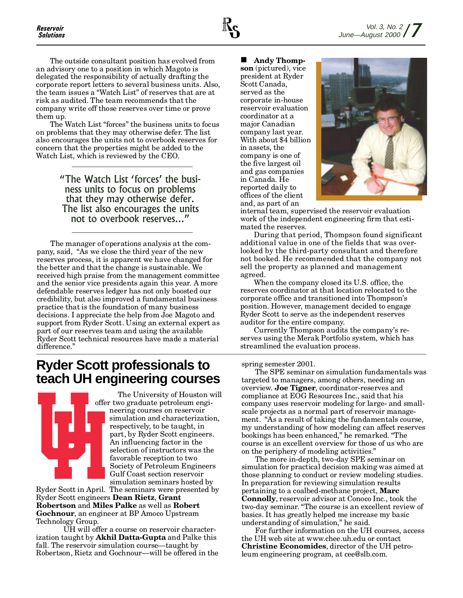The outside consultant position has evolved from an advisory one to a position in which Magoto is delegated the responsibility of actually drafting the corporate report letters to several business units. Also, the team issues a "Watch List" of reserves that are at risk as audited. The team recommends that the company write off those reserves over time or prove them up.

The Watch List "forces" the business units to focus on problems that they may otherwise defer. The list also encourages the units not to overbook reserves for concern that the properties might be added to the Watch List, which is reviewed by the CEO.

> "The Watch List 'forces' the business units to focus on problems that they may otherwise defer. The list also encourages the units not to overbook reserves...

The manager of operations analysis at the company, said, "As we close the third year of the new reserves process, it is apparent we have changed for the better and that the change is sustainable. We received high praise from the management committee and the senior vice presidents again this year. A more defendable reserves ledger has not only boosted our credibility, but also improved a fundamental business practice that is the foundation of many business decisions. I appreciate the help from Joe Magoto and support from Ryder Scott. Using an external expert as part of our reserves team and using the available Ryder Scott technical resources have made a material difference."

### **Ryder Scott professionals to teach UH engineering courses**



The University of Houston will offer two graduate petroleum engineering courses on reservoir simulation and characterization, respectively, to be taught, in part, by Ryder Scott engineers. An influencing factor in the selection of instructors was the favorable reception to two Society of Petroleum Engineers Gulf Coast section reservoir simulation seminars hosted by

Ryder Scott in April. The seminars were presented by Ryder Scott engineers Dean Rietz, Grant Robertson and Miles Palke as well as Robert Gochnour, an engineer at BP Amoco Upstream Technology Group.

UH will offer a course on reservoir characterization taught by Akhil Datta-Gupta and Palke this fall. The reservoir simulation course—taught by Robertson, Rietz and Gochnour—will be offered in the

Andy Thompson (pictured), vice president at Ryder Scott Canada, served as the corporate in-house reservoir evaluation coordinator at a major Canadian company last year. With about \$4 billion in assets, the company is one of the five largest oil and gas companies in Canada. He reported daily to offices of the client and, as part of an



internal team, supervised the reservoir evaluation work of the independent engineering firm that estimated the reserves.

During that period, Thompson found significant additional value in one of the fields that was overlooked by the third-party consultant and therefore not booked. He recommended that the company not sell the property as planned and management agreed.

When the company closed its U.S. office, the reserves coordinator at that location relocated to the corporate office and transitioned into Thompson's position. However, management decided to engage Ryder Scott to serve as the independent reserves auditor for the entire company.

Currently Thompson audits the companys reserves using the Merak Portfolio system, which has streamlined the evaluation process.

spring semester 2001.

The SPE seminar on simulation fundamentals was targeted to managers, among others, needing an overview. Joe Tigner, coordinator-reserves and compliance at EOG Resources Inc., said that his company uses reservoir modeling for large- and smallscale projects as a normal part of reservoir management. "As a result of taking the fundamentals course, my understanding of how modeling can affect reserves bookings has been enhanced," he remarked. "The course is an excellent overview for those of us who are on the periphery of modeling activities.

The more in-depth, two-day SPE seminar on simulation for practical decision making was aimed at those planning to conduct or review modeling studies. In preparation for reviewing simulation results pertaining to a coalbed-methane project, Marc Connolly, reservoir advisor at Conoco Inc., took the two-day seminar. "The course is an excellent review of basics. It has greatly helped me increase my basic understanding of simulation," he said.

For further information on the UH courses, access the UH web site at www.chee.uh.edu or contact Christine Economides, director of the UH petroleum engineering program, at cee@slb.com.